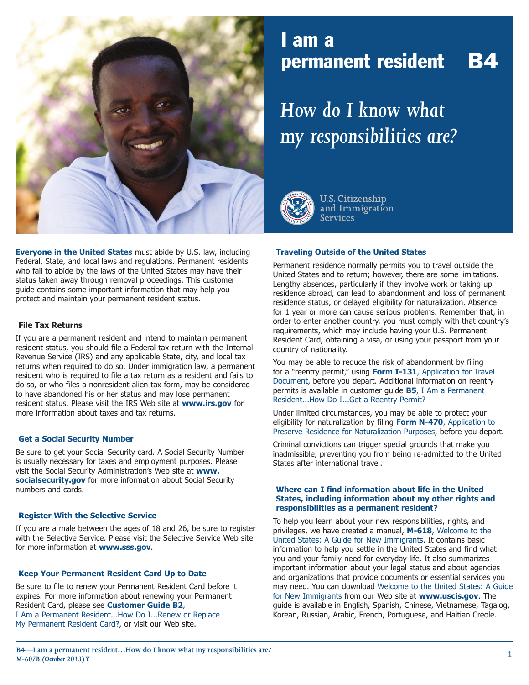

### **Everyone in the United States** must abide by U.S. law, including Federal, State, and local laws and regulations. Permanent residents who fail to abide by the laws of the United States may have their status taken away through removal proceedings. This customer guide contains some important information that may help you protect and maintain your permanent resident status.

### **File Tax Returns**

If you are a permanent resident and intend to maintain permanent resident status, you should file a Federal tax return with the Internal Revenue Service (IRS) and any applicable State, city, and local tax returns when required to do so. Under immigration law, a permanent resident who is required to file a tax return as a resident and fails to do so, or who files a nonresident alien tax form, may be considered to have abandoned his or her status and may lose permanent resident status. Please visit the IRS Web site at **[www.irs.gov](http://www.irs.gov)** for more information about taxes and tax returns.

### **Get a Social Security Number**

Be sure to get your Social Security card. A Social Security Number is usually necessary for taxes and employment purposes. Please visit the Social Security Administration's Web site at **[www.](http://www.socialsecurity.gov) [socialsecurity.gov](http://www.socialsecurity.gov)** for more information about Social Security numbers and cards.

### **Register With the Selective Service**

If you are a male between the ages of 18 and 26, be sure to register with the Selective Service. Please visit the Selective Service Web site for more information at **[www.sss.gov](http://www.sss.gov)**.

### **Keep Your Permanent Resident Card Up to Date**

Be sure to file to renew your Permanent Resident Card before it expires. For more information about renewing your Permanent Resident Card, please see **Customer Guide B2**, I Am a Permanent Resident...How Do I...Renew or Replace My Permanent Resident Card?, or visit our Web site.

## I am a permanent resident B4

# *How do I know what my responsibilities are?*



**U.S. Citizenship** and Immigration **Services** 

### **Traveling Outside of the United States**

Permanent residence normally permits you to travel outside the United States and to return; however, there are some limitations. Lengthy absences, particularly if they involve work or taking up residence abroad, can lead to abandonment and loss of permanent residence status, or delayed eligibility for naturalization. Absence for 1 year or more can cause serious problems. Remember that, in order to enter another country, you must comply with that country's requirements, which may include having your U.S. Permanent Resident Card, obtaining a visa, or using your passport from your country of nationality.

You may be able to reduce the risk of abandonment by filing for a "reentry permit," using **Form I-131**, Application for Travel Document, before you depart. Additional information on reentry permits is available in customer guide **B5**, I Am a Permanent Resident...How Do I...Get a Reentry Permit?

Under limited circumstances, you may be able to protect your eligibility for naturalization by filing **Form N-470**, Application to Preserve Residence for Naturalization Purposes, before you depart.

Criminal convictions can trigger special grounds that make you inadmissible, preventing you from being re-admitted to the United States after international travel.

### **Where can I find information about life in the United States, including information about my other rights and responsibilities as a permanent resident?**

To help you learn about your new responsibilities, rights, and privileges, we have created a manual, **M-618**, Welcome to the United States: A Guide for New Immigrants. It contains basic information to help you settle in the United States and find what you and your family need for everyday life. It also summarizes important information about your legal status and about agencies and organizations that provide documents or essential services you may need. You can download Welcome to the United States: A Guide for New Immigrants from our Web site at **[www.uscis.gov](http://www.uscis.gov)**. The guide is available in English, Spanish, Chinese, Vietnamese, Tagalog, Korean, Russian, Arabic, French, Portuguese, and Haitian Creole.